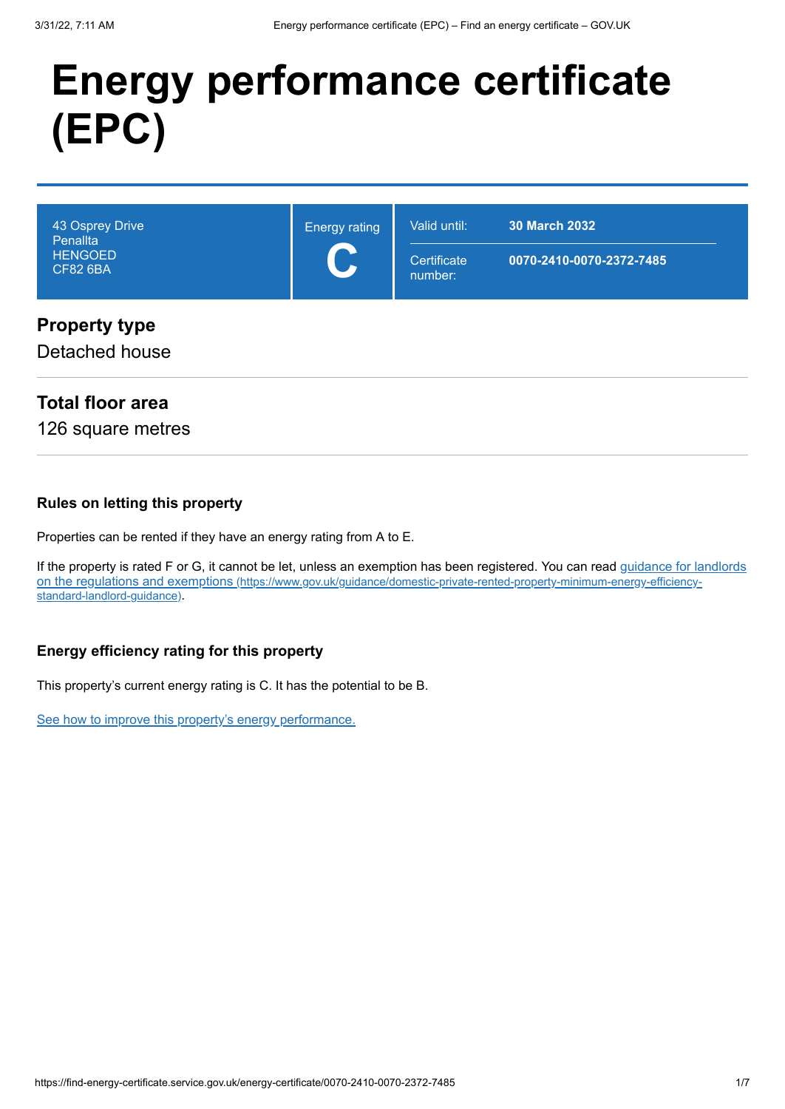# **Energy performance certificate (EPC)**

| 43 Osprey Drive<br>Penallta<br><b>HENGOED</b><br><b>CF82 6BA</b> | <b>Energy rating</b><br>$\mathbf C$ | Valid until:<br>Certificate<br>number: | <b>30 March 2032</b><br>0070-2410-0070-2372-7485 |
|------------------------------------------------------------------|-------------------------------------|----------------------------------------|--------------------------------------------------|
| <b>Property type</b><br>Detached house                           |                                     |                                        |                                                  |

#### **Total floor area**

126 square metres

#### **Rules on letting this property**

Properties can be rented if they have an energy rating from A to E.

[If the property is rated F or G, it cannot be let, unless an exemption has been registered. You can read guidance for landlords](https://www.gov.uk/guidance/domestic-private-rented-property-minimum-energy-efficiency-standard-landlord-guidance) on the regulations and exemptions (https://www.gov.uk/guidance/domestic-private-rented-property-minimum-energy-efficiencystandard-landlord-guidance).

#### **Energy efficiency rating for this property**

This property's current energy rating is C. It has the potential to be B.

[See how to improve this property's energy performance.](#page-3-0)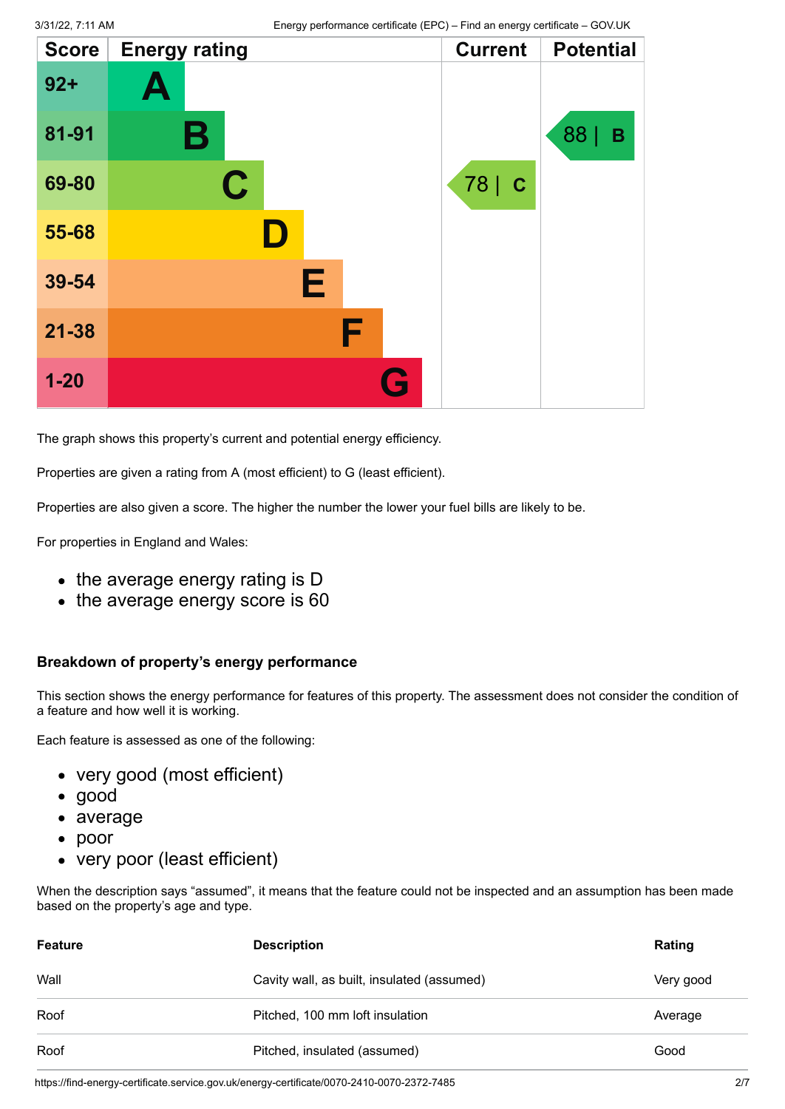| <b>Score</b> | <b>Energy rating</b> |   | <b>Current</b> | <b>Potential</b> |
|--------------|----------------------|---|----------------|------------------|
| $92 +$       | Ą                    |   |                |                  |
| 81-91        | Β                    |   |                | 88<br>B          |
| 69-80        | $\mathbf C$          |   | 78   C         |                  |
| 55-68        | ID.                  |   |                |                  |
| 39-54        | Е                    |   |                |                  |
| $21 - 38$    |                      | F |                |                  |
| $1 - 20$     |                      | G |                |                  |

The graph shows this property's current and potential energy efficiency.

Properties are given a rating from A (most efficient) to G (least efficient).

Properties are also given a score. The higher the number the lower your fuel bills are likely to be.

For properties in England and Wales:

- the average energy rating is D
- the average energy score is 60

#### **Breakdown of property's energy performance**

This section shows the energy performance for features of this property. The assessment does not consider the condition of a feature and how well it is working.

Each feature is assessed as one of the following:

- very good (most efficient)
- good
- average
- poor
- very poor (least efficient)

When the description says "assumed", it means that the feature could not be inspected and an assumption has been made based on the property's age and type.

| <b>Feature</b> | <b>Description</b>                         | Rating    |
|----------------|--------------------------------------------|-----------|
| Wall           | Cavity wall, as built, insulated (assumed) | Very good |
| Roof           | Pitched, 100 mm loft insulation            | Average   |
| Roof           | Pitched, insulated (assumed)               | Good      |

https://find-energy-certificate.service.gov.uk/energy-certificate/0070-2410-0070-2372-7485 2/7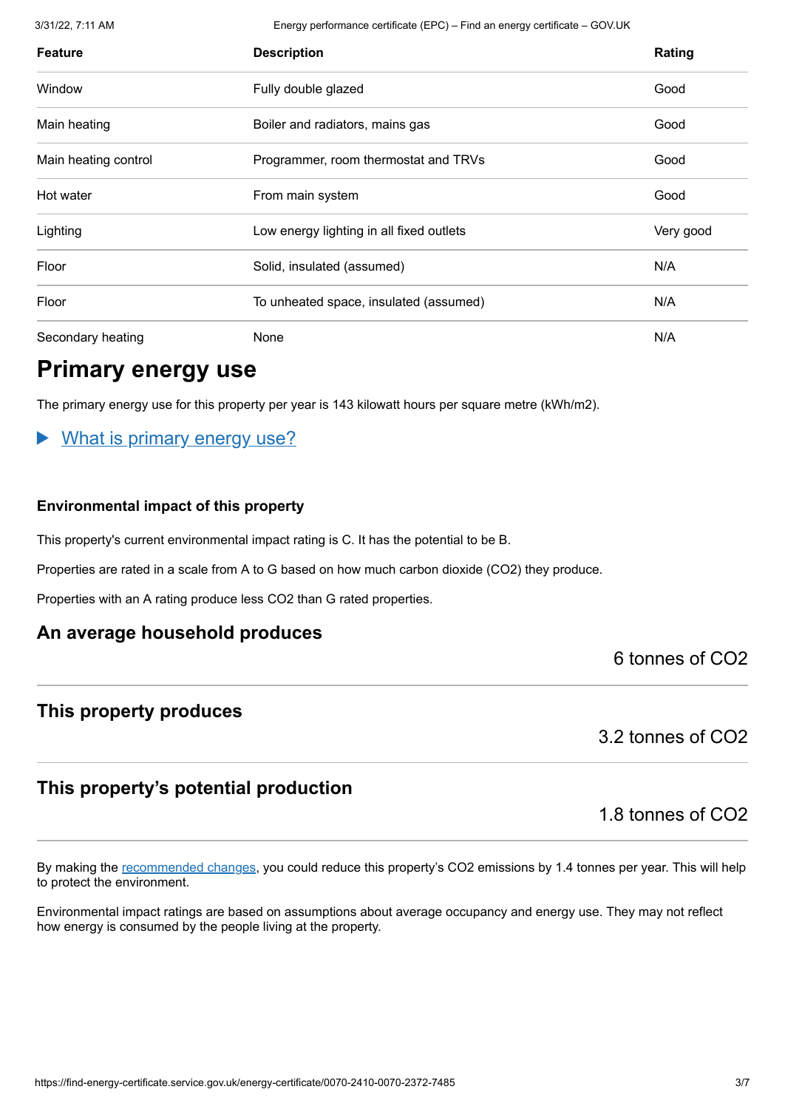3/31/22, 7:11 AM Energy performance certificate (EPC) – Find an energy certificate – GOV.UK

| <b>Feature</b>       | <b>Description</b>                       | Rating    |
|----------------------|------------------------------------------|-----------|
| Window               | Fully double glazed                      | Good      |
| Main heating         | Boiler and radiators, mains gas          | Good      |
| Main heating control | Programmer, room thermostat and TRVs     | Good      |
| Hot water            | From main system                         | Good      |
| Lighting             | Low energy lighting in all fixed outlets | Very good |
| Floor                | Solid, insulated (assumed)               | N/A       |
| Floor                | To unheated space, insulated (assumed)   | N/A       |
| Secondary heating    | None                                     | N/A       |

### **Primary energy use**

The primary energy use for this property per year is 143 kilowatt hours per square metre (kWh/m2).

#### What is primary energy use?

#### **Environmental impact of this property**

This property's current environmental impact rating is C. It has the potential to be B.

Properties are rated in a scale from A to G based on how much carbon dioxide (CO2) they produce.

Properties with an A rating produce less CO2 than G rated properties.

#### **An average household produces**

6 tonnes of CO2

#### **This property produces**

3.2 tonnes of CO2

#### **This property's potential production**

1.8 tonnes of CO2

By making the [recommended changes](#page-3-0), you could reduce this property's CO2 emissions by 1.4 tonnes per year. This will help to protect the environment.

Environmental impact ratings are based on assumptions about average occupancy and energy use. They may not reflect how energy is consumed by the people living at the property.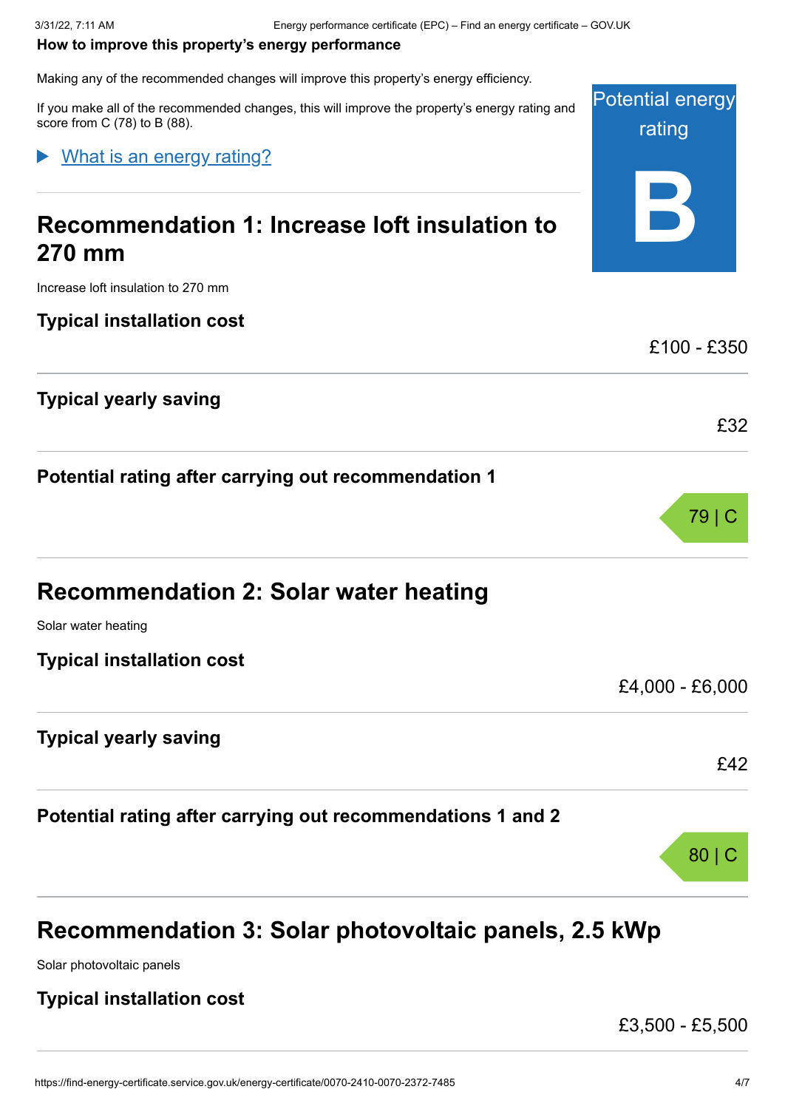#### <span id="page-3-0"></span>**How to improve this property's energy performance**

Making any of the recommended changes will improve this property's energy efficiency.

Potential energy If you make all of the recommended changes, this will improve the property's energy rating and score from C (78) to B (88).

What is an energy rating?

## **Recommendation 1: Increase loft insulation to 270 mm**

Increase loft insulation to 270 mm

**Typical installation cost**

**Typical yearly saving**

**Potential rating after carrying out recommendation 1**

| Recommendation 2: Solar water heating |                 |
|---------------------------------------|-----------------|
| Solar water heating                   |                 |
| <b>Typical installation cost</b>      |                 |
|                                       | £4,000 - £6,000 |
| <b>Typical yearly saving</b>          |                 |

**Potential rating after carrying out recommendations 1 and 2**

### **Recommendation 3: Solar photovoltaic panels, 2.5 kWp**

Solar photovoltaic panels

#### **Typical installation cost**

£3,500 - £5,500

rating

**B**

£100 - £350

£32

£42

80 | C

79 | C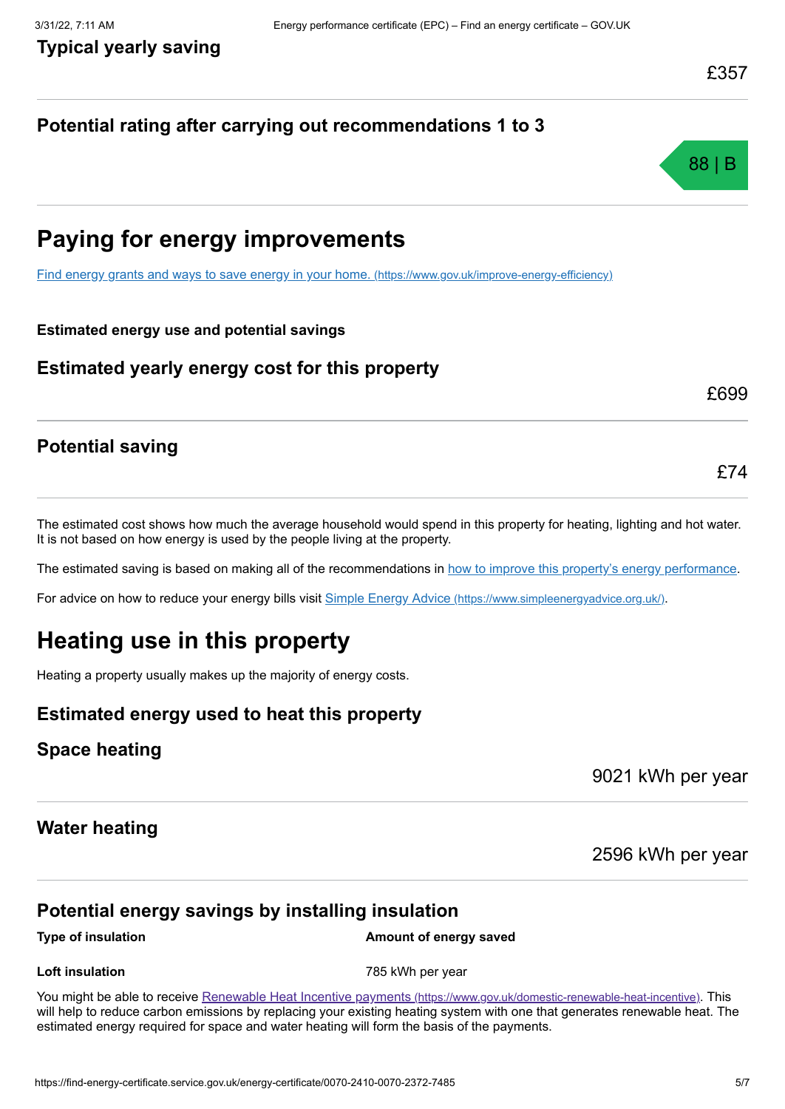£699

£74

#### **Potential rating after carrying out recommendations 1 to 3**



### **Paying for energy improvements**

[Find energy grants and ways to save energy in your home.](https://www.gov.uk/improve-energy-efficiency) (https://www.gov.uk/improve-energy-efficiency)

#### **Estimated energy use and potential savings**

#### **Estimated yearly energy cost for this property**

#### **Potential saving**

The estimated cost shows how much the average household would spend in this property for heating, lighting and hot water. It is not based on how energy is used by the people living at the property.

The estimated saving is based on making all of the recommendations in [how to improve this property's energy performance.](#page-3-0)

For advice on how to reduce your energy bills visit Simple Energy Advice [\(https://www.simpleenergyadvice.org.uk/\)](https://www.simpleenergyadvice.org.uk/).

### **Heating use in this property**

Heating a property usually makes up the majority of energy costs.

#### **Estimated energy used to heat this property**

#### **Space heating**

9021 kWh per year

#### **Water heating**

2596 kWh per year

#### **Potential energy savings by installing insulation**

#### **Type of insulation Amount of energy saved**

**Loft insulation 1988 Loft insulation 1988 1988 1998 1998 1998 1999 1999 1999 1999 1999 1999 1999 1999 1999 1999 1999 1999 1999 1999 1999 1999 1999 1999 1999 1999 199** 

You might be able to receive Renewable Heat Incentive payments [\(https://www.gov.uk/domestic-renewable-heat-incentive\)](https://www.gov.uk/domestic-renewable-heat-incentive). This will help to reduce carbon emissions by replacing your existing heating system with one that generates renewable heat. The estimated energy required for space and water heating will form the basis of the payments.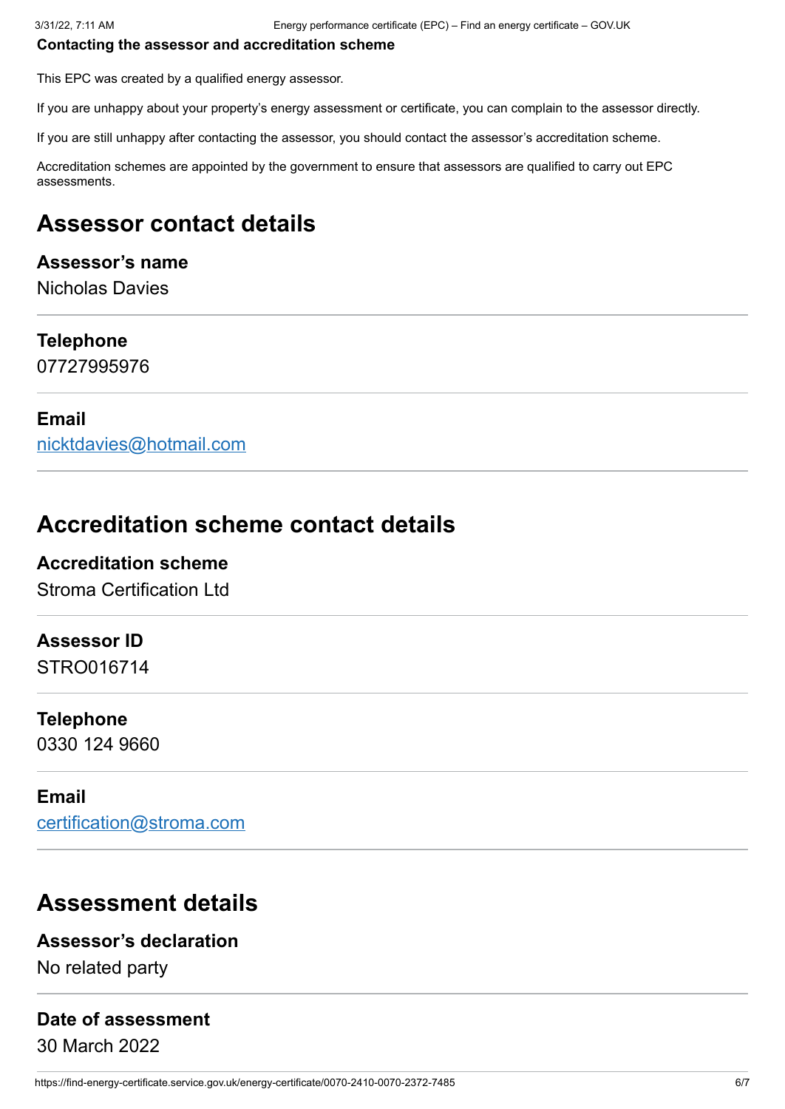#### **Contacting the assessor and accreditation scheme**

This EPC was created by a qualified energy assessor.

If you are unhappy about your property's energy assessment or certificate, you can complain to the assessor directly.

If you are still unhappy after contacting the assessor, you should contact the assessor's accreditation scheme.

Accreditation schemes are appointed by the government to ensure that assessors are qualified to carry out EPC assessments.

### **Assessor contact details**

#### **Assessor's name**

Nicholas Davies

#### **Telephone**

07727995976

#### **Email**

[nicktdavies@hotmail.com](mailto:nicktdavies@hotmail.com)

### **Accreditation scheme contact details**

### **Accreditation scheme**

Stroma Certification Ltd

#### **Assessor ID**

STRO016714

#### **Telephone**

0330 124 9660

#### **Email**

[certification@stroma.com](mailto:certification@stroma.com)

### **Assessment details**

#### **Assessor's declaration**

No related party

#### **Date of assessment**

30 March 2022